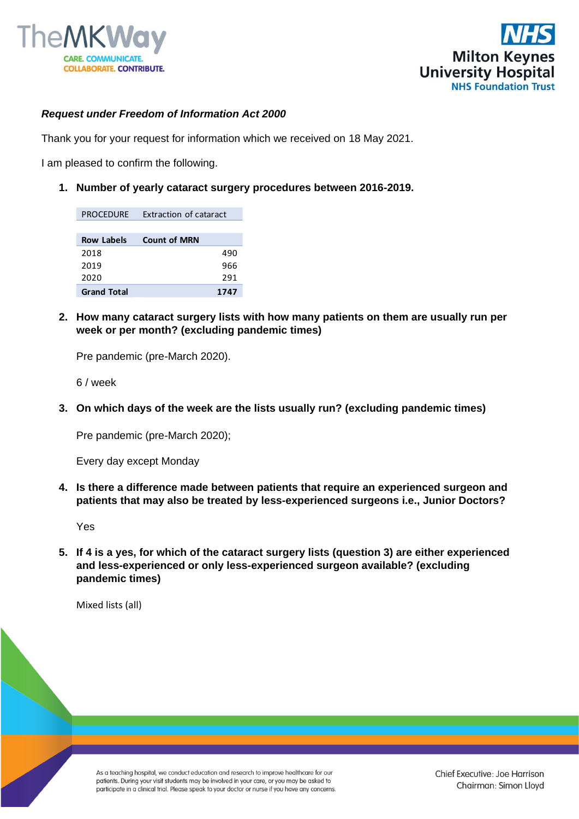



## *Request under Freedom of Information Act 2000*

Thank you for your request for information which we received on 18 May 2021.

I am pleased to confirm the following.

**1. Number of yearly cataract surgery procedures between 2016-2019.**

| <b>PROCEDURE</b>   | Extraction of cataract |
|--------------------|------------------------|
| <b>Row Labels</b>  | <b>Count of MRN</b>    |
| 2018               | 490                    |
| 2019               | 966                    |
| 2020               | 291                    |
| <b>Grand Total</b> | 1747                   |

**2. How many cataract surgery lists with how many patients on them are usually run per week or per month? (excluding pandemic times)**

Pre pandemic (pre-March 2020).

6 / week

**3. On which days of the week are the lists usually run? (excluding pandemic times)**

Pre pandemic (pre-March 2020);

Every day except Monday

**4. Is there a difference made between patients that require an experienced surgeon and patients that may also be treated by less-experienced surgeons i.e., Junior Doctors?**

Yes

**5. If 4 is a yes, for which of the cataract surgery lists (question 3) are either experienced and less-experienced or only less-experienced surgeon available? (excluding pandemic times)**

Mixed lists (all)

As a teaching hospital, we conduct education and research to improve healthcare for our patients. During your visit students may be involved in your care, or you may be asked to participate in a clinical trial. Please speak to your doctor or nurse if you have any concerns.